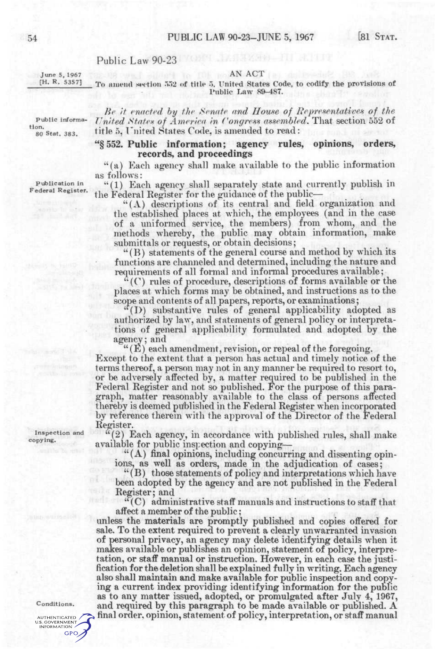# Public Law 90-23

June 5, 1967 [H. R. 5357]

## AN ACT

#### To amend section 552 of title 5, United States Code, to codify the provisions of Public Law 89-487.

*Be it enacted by the Senate and House of Representatives of the United States of America in Congress assembled.* That section 552 of title 5, United States Code, is amended to read:

#### "§552. **Public information; agency rules, opinions, orders, records, and proceedings**

"(a) Each agency shall make available to the public information as follows:

Federal Register. "(1) Each agency shall separately state and currently publish in the Federal Register for the guidance of the public—

"(A) descriptions of its central and field organization and the established places at which, the employees (and in the case of a uniformed service, the members) from whom, and the methods whereby, the public may obtain information, make submittals or requests, or obtain decisions;

"(B) statements of the general course and method by which its functions are channeled and determined, including the nature and requirements of all formal and informal procedures available;

"((^) rules of procedure, descriptions of forms available or the places at which forms may be obtained, and instructions as to the scope and contents of all papers, reports, or examinations;

(I)) substantive rules of general applicability adopted as authorized by law, and statements of general policy or interpretations of general applicability formulated and adopted by the agency; and

 $``(E)$  each amendment, revision, or repeal of the foregoing.

Except to the extent that a person has actual and timely notice of the terms thereof, a person may not in any manner be required to resort to, or be adversely affected by, a matter required to be published in the Federal Register and not so published. For the purpose of this paragraph, matter reasonably available to the class of persons affected thereby is deemed published in the Federal Register when incorporated by reference therein with the approval of the Director of the Federal Register.

"(2) Each agency, in accordance with published rules, shall make available for public inspection and copying—

"(A) final opinions, including concurring and dissenting opinions, as well as orders, made in the adjudication of cases;

"(B) those statements of policy and interpretations which have been adopted by the agency and are not published in the Federal Register; and

"(C) administrative staff manuals and instructions to staff that affect a member of the public;

unless the materials are promptly published and copies offered for sale. To the extent required to prevent a clearly unwarranted invasion of personal privacy, an agency may delete identifying details when it makes available or publishes an opinion, statement of policy, interpretation, or staff manual or instruction. However, in each case the justification for the deletion shall be explained fully in writing. Each agency also shall maintain and make available for public inspection and copying a current index providing identifying information for the public as to any matter issued, adopted, or promulgated after July 4, 1967, and required by this paragraph to be made available or published. A final order, opinion, statement of policy, interpretation, or staff manual

Inspection and copying.

#### Conditions.

AUTHENTICATED / U.S. GOVERNMENT GPO

Public information. 80 Stat. 383.

Publication in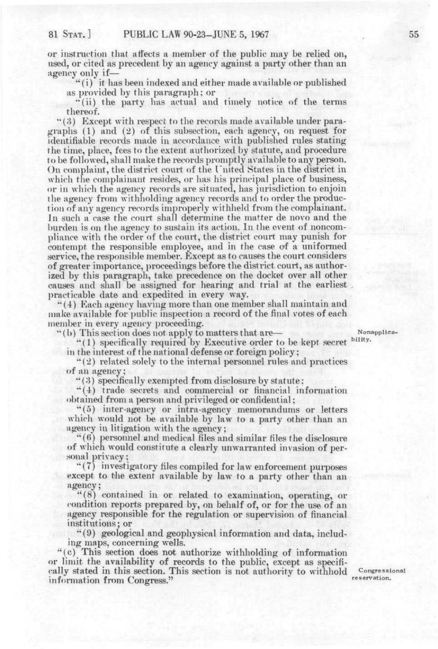or instruction that affects a member of the public may be relied on, used, or cited as precedent by an agency against a party other than an agency only if—

"(i) it has been indexed and either made available or published as provided by this paragraph; or

"(ii) the party has actual and timely notice of the terms thereof.

" $(3)$  Except with respect to the records made available under paragraphs (1) and (2) of this subsection, each agency, on request for identifiable records made in accordance with published rules stating the time, place, fees to the extent authorized by statute, and procedure to be followed, shall make the records promptly available to any person. On complaint, the district court of the Fnited States in the district in which the complainant resides, or has his principal place of business, or in which the agency records are situated, has jurisdiction to enjoin the agency from withholding agency records and to order the production of any agency records improperly withheld from the complainant. In such a case the court shall determine the matter de novo and the burden is on the agency to sustain its action. In the event of noncompliance with the order of the court, the district court may punish for contempt the responsible employee, and in the case of a uniformed service, the responsible member. Except as to causes the court considers of greater importance, proceedings before the district court, as authorized by this paragraph, take precedence on the docket over all other causes and shall be assigned for hearing and trial at the earliest ])racticable date and expedited in every way.

'\*{4) Each agency having more than one member shall maintain and make available for public inspection a record of the final votes of each member in every agency proceeding.

"(b) This section does not apply to matters that are— Nonapplica-

"(1) specifically required by Executive order to be kept secret <sup>bility.</sup> in the interest of the national defense or foreign policy;

"(2) related solely to the internal personnel rules and practices of an agency;

" (8) specifically exempted from disclosure by statute:

"(4) trade secrets and commercial or financial information obtained from a person and privileged or confidential ;

"(5) inter-agency or intra-agency memorandums or letters which would not be available by law to a party other than an agency in litigation with the agency;

"(H) personnel and medical files and similar files the disclosure of which would constitute a clearly unwarranted invasion of personal privacy ;

" (7) investigatory files compiled for law enforcement purposes except to the extent available by law to a party other than an agency;

 $(8)$  contained in or related to examination, operating, or condition reports prepared by, on behalf of, or for the use of an agency responsible for the regulation or supervision of financial institutions; or

"(9) geological and geophysical information and data, including maps, concerning wells.

•'(c) This section does not authorize withholding of information or limit the availability of records to the public, except as specifically stated in this section. This section is not authority to withhold Congressional information from Congress."